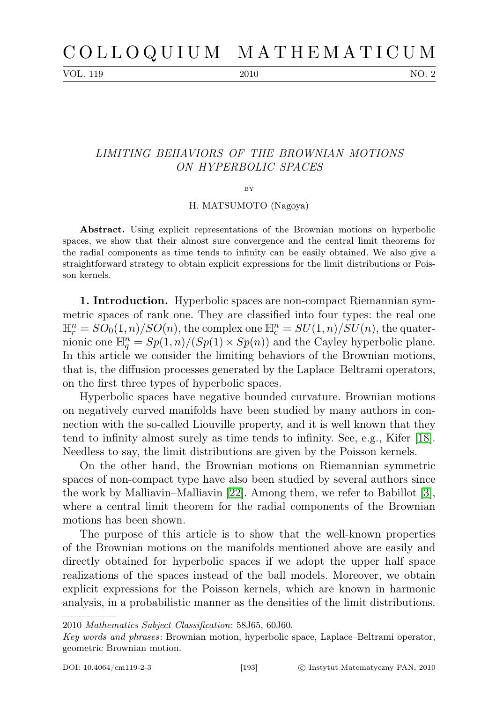VOL. 119 2010 2010 NO. 2

## LIMITING BEHAVIORS OF THE BROWNIAN MOTIONS ON HYPERBOLIC SPACES

BY

H. MATSUMOTO (Nagoya)

Abstract. Using explicit representations of the Brownian motions on hyperbolic spaces, we show that their almost sure convergence and the central limit theorems for the radial components as time tends to infinity can be easily obtained. We also give a straightforward strategy to obtain explicit expressions for the limit distributions or Poisson kernels.

1. Introduction. Hyperbolic spaces are non-compact Riemannian symmetric spaces of rank one. They are classified into four types: the real one  $\mathbb{H}^n_r = SO_0(1,n)/SO(n)$ , the complex one  $\mathbb{H}^n_c = SU(1,n)/SU(n)$ , the quaternionic one  $\mathbb{H}^n_q = Sp(1,n)/(Sp(1) \times Sp(n))$  and the Cayley hyperbolic plane. In this article we consider the limiting behaviors of the Brownian motions, that is, the diffusion processes generated by the Laplace–Beltrami operators, on the first three types of hyperbolic spaces.

Hyperbolic spaces have negative bounded curvature. Brownian motions on negatively curved manifolds have been studied by many authors in connection with the so-called Liouville property, and it is well known that they tend to infinity almost surely as time tends to infinity. See, e.g., Kifer [\[18\]](#page-21-0). Needless to say, the limit distributions are given by the Poisson kernels.

On the other hand, the Brownian motions on Riemannian symmetric spaces of non-compact type have also been studied by several authors since the work by Malliavin–Malliavin [\[22\]](#page-21-1). Among them, we refer to Babillot [\[3\]](#page-21-2), where a central limit theorem for the radial components of the Brownian motions has been shown.

The purpose of this article is to show that the well-known properties of the Brownian motions on the manifolds mentioned above are easily and directly obtained for hyperbolic spaces if we adopt the upper half space realizations of the spaces instead of the ball models. Moreover, we obtain explicit expressions for the Poisson kernels, which are known in harmonic analysis, in a probabilistic manner as the densities of the limit distributions.

<sup>2010</sup> Mathematics Subject Classification: 58J65, 60J60.

Key words and phrases: Brownian motion, hyperbolic space, Laplace–Beltrami operator, geometric Brownian motion.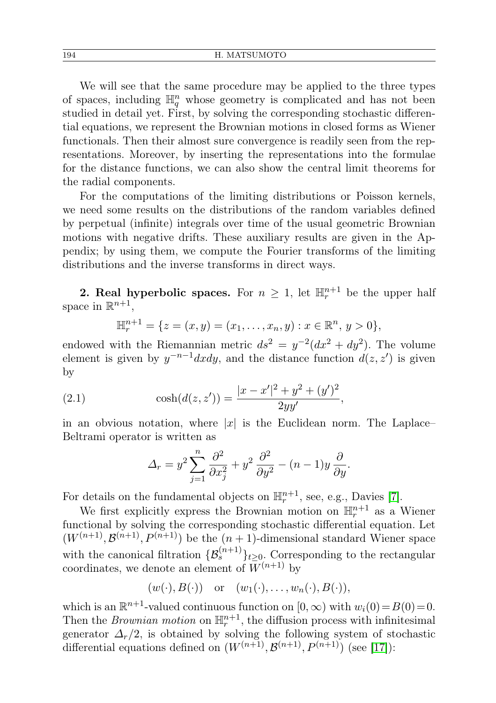We will see that the same procedure may be applied to the three types of spaces, including  $\mathbb{H}^n_q$  whose geometry is complicated and has not been studied in detail yet. First, by solving the corresponding stochastic differential equations, we represent the Brownian motions in closed forms as Wiener functionals. Then their almost sure convergence is readily seen from the representations. Moreover, by inserting the representations into the formulae for the distance functions, we can also show the central limit theorems for the radial components.

For the computations of the limiting distributions or Poisson kernels, we need some results on the distributions of the random variables defined by perpetual (infinite) integrals over time of the usual geometric Brownian motions with negative drifts. These auxiliary results are given in the Appendix; by using them, we compute the Fourier transforms of the limiting distributions and the inverse transforms in direct ways.

**2. Real hyperbolic spaces.** For  $n \geq 1$ , let  $\mathbb{H}_r^{n+1}$  be the upper half space in  $\mathbb{R}^{n+1}$ ,

$$
\mathbb{H}_r^{n+1} = \{ z = (x, y) = (x_1, \dots, x_n, y) : x \in \mathbb{R}^n, y > 0 \},
$$

endowed with the Riemannian metric  $ds^2 = y^{-2}(dx^2 + dy^2)$ . The volume element is given by  $y^{-n-1} dx dy$ , and the distance function  $d(z, z')$  is given by

(2.1) 
$$
\cosh(d(z, z')) = \frac{|x - x'|^2 + y^2 + (y')^2}{2yy'},
$$

in an obvious notation, where |x| is the Euclidean norm. The Laplace– Beltrami operator is written as

<span id="page-1-0"></span>
$$
\Delta_r = y^2 \sum_{j=1}^n \frac{\partial^2}{\partial x_j^2} + y^2 \frac{\partial^2}{\partial y^2} - (n-1)y \frac{\partial}{\partial y}.
$$

For details on the fundamental objects on  $\mathbb{H}^{n+1}_{r}$ , see, e.g., Davies [\[7\]](#page-21-3).

We first explicitly express the Brownian motion on  $\mathbb{H}^{n+1}_r$  as a Wiener functional by solving the corresponding stochastic differential equation. Let  $(W^{(n+1)}, \mathcal{B}^{(n+1)}, P^{(n+1)})$  be the  $(n+1)$ -dimensional standard Wiener space with the canonical filtration  $\{\mathcal{B}_{s}^{(n+1)}\}_{t\geq 0}$ . Corresponding to the rectangular coordinates, we denote an element of  $\bar{W}^{(n+1)}$  by

 $(w(\cdot), B(\cdot))$  or  $(w_1(\cdot), \ldots, w_n(\cdot), B(\cdot)),$ 

which is an  $\mathbb{R}^{n+1}$ -valued continuous function on  $[0, \infty)$  with  $w_i(0) = B(0) = 0$ . Then the *Brownian motion* on  $\mathbb{H}_r^{n+1}$ , the diffusion process with infinitesimal generator  $\Delta_r/2$ , is obtained by solving the following system of stochastic differential equations defined on  $(W^{(n+1)}, \mathcal{B}^{(n+1)}, P^{(n+1)})$  (see [\[17\]](#page-21-4)):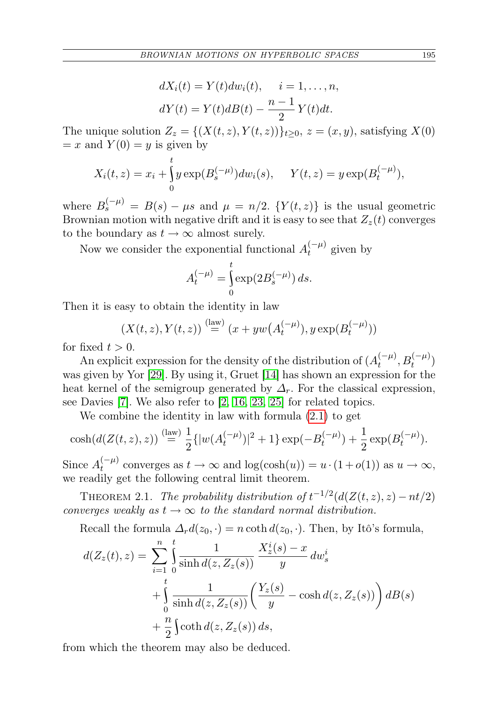$$
dX_i(t) = Y(t)dw_i(t), \quad i = 1, \dots, n,
$$
  

$$
dY(t) = Y(t)dB(t) - \frac{n-1}{2}Y(t)dt.
$$

The unique solution  $Z_z = \{(X(t, z), Y(t, z))\}_{t \geq 0}$ ,  $z = (x, y)$ , satisfying  $X(0)$  $= x$  and  $Y(0) = y$  is given by

$$
X_i(t, z) = x_i + \int_0^t y \exp(B_s^{(-\mu)}) dw_i(s), \quad Y(t, z) = y \exp(B_t^{(-\mu)}),
$$

where  $B_s^{(-\mu)} = B(s) - \mu s$  and  $\mu = n/2$ .  $\{Y(t, z)\}\$ is the usual geometric Brownian motion with negative drift and it is easy to see that  $Z_z(t)$  converges to the boundary as  $t \to \infty$  almost surely.

Now we consider the exponential functional  $A_t^{(-\mu)}$  $t^{(-\mu)}$  given by

$$
A_t^{(-\mu)} = \int_0^t \exp(2B_s^{(-\mu)}) ds.
$$

Then it is easy to obtain the identity in law

$$
(X(t, z), Y(t, z)) \stackrel{\text{(law)}}{=} (x + yw(A_t^{(-\mu)}), y \exp(B_t^{(-\mu)}))
$$

for fixed  $t > 0$ .

An explicit expression for the density of the distribution of  $(A_t^{(-\mu)}$  $t^{(-\mu)}, B_t^{(-\mu)})$ was given by Yor [\[29\]](#page-22-0). By using it, Gruet [\[14\]](#page-21-5) has shown an expression for the heat kernel of the semigroup generated by  $\Delta_r$ . For the classical expression, see Davies [\[7\]](#page-21-3). We also refer to [\[2,](#page-21-6) [16,](#page-21-7) [23,](#page-21-8) [25\]](#page-21-9) for related topics.

We combine the identity in law with formula [\(2.1\)](#page-1-0) to get

$$
\cosh(d(Z(t,z),z)) \stackrel{\text{(law)}}{=} \frac{1}{2} \{|w(A_t^{(-\mu)})|^2 + 1\} \exp(-B_t^{(-\mu)}) + \frac{1}{2} \exp(B_t^{(-\mu)}).
$$

Since  $A_t^{(-\mu)}$  $t<sup>(-\mu)</sup>$  converges as  $t \to \infty$  and  $\log(\cosh(u)) = u \cdot (1 + o(1))$  as  $u \to \infty$ , we readily get the following central limit theorem.

THEOREM 2.1. The probability distribution of  $t^{-1/2}(d(Z(t,z),z) - nt/2)$ converges weakly as  $t \to \infty$  to the standard normal distribution.

Recall the formula  $\Delta_r d(z_0, \cdot) = n \coth d(z_0, \cdot)$ . Then, by Itô's formula,

$$
d(Z_z(t), z) = \sum_{i=1}^n \int_0^t \frac{1}{\sinh d(z, Z_z(s))} \frac{X_z^i(s) - x}{y} dw_s^i
$$
  
+ 
$$
\int_0^t \frac{1}{\sinh d(z, Z_z(s))} \left( \frac{Y_z(s)}{y} - \cosh d(z, Z_z(s)) \right) dB(s)
$$
  
+ 
$$
\frac{n}{2} \int \coth d(z, Z_z(s)) ds,
$$

from which the theorem may also be deduced.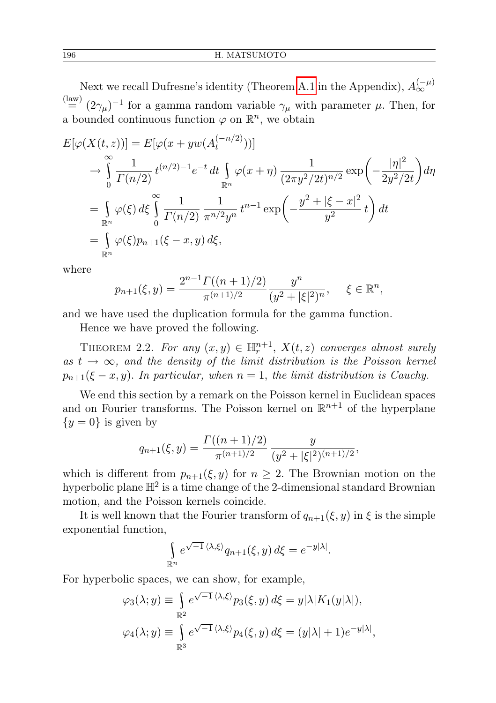Next we recall Dufresne's identity (Theorem [A.1](#page-17-0) in the Appendix),  $A_{\infty}^{(-\mu)}$  $\stackrel{\text{(law)}}{=} (2\gamma_\mu)^{-1}$  for a gamma random variable  $\gamma_\mu$  with parameter  $\mu$ . Then, for a bounded continuous function  $\varphi$  on  $\mathbb{R}^n$ , we obtain

$$
E[\varphi(X(t,z))] = E[\varphi(x + yw(A_t^{(-n/2)}))]
$$
  
\n
$$
\rightarrow \int_{0}^{\infty} \frac{1}{\Gamma(n/2)} t^{(n/2)-1} e^{-t} dt \int_{\mathbb{R}^n} \varphi(x+\eta) \frac{1}{(2\pi y^2/2t)^{n/2}} \exp\left(-\frac{|\eta|^2}{2y^2/2t}\right) d\eta
$$
  
\n
$$
= \int_{\mathbb{R}^n} \varphi(\xi) d\xi \int_{0}^{\infty} \frac{1}{\Gamma(n/2)} \frac{1}{\pi^{n/2} y^n} t^{n-1} \exp\left(-\frac{y^2 + |\xi - x|^2}{y^2} t\right) dt
$$
  
\n
$$
= \int_{\mathbb{R}^n} \varphi(\xi) p_{n+1}(\xi - x, y) d\xi,
$$

where

$$
p_{n+1}(\xi, y) = \frac{2^{n-1} \Gamma((n+1)/2)}{\pi^{(n+1)/2}} \frac{y^n}{(y^2 + |\xi|^2)^n}, \quad \xi \in \mathbb{R}^n,
$$

and we have used the duplication formula for the gamma function.

Hence we have proved the following.

THEOREM 2.2. For any  $(x, y) \in \mathbb{H}^{n+1}$ ,  $X(t, z)$  converges almost surely as  $t \to \infty$ , and the density of the limit distribution is the Poisson kernel  $p_{n+1}(\xi-x, y)$ . In particular, when  $n=1$ , the limit distribution is Cauchy.

We end this section by a remark on the Poisson kernel in Euclidean spaces and on Fourier transforms. The Poisson kernel on  $\mathbb{R}^{n+1}$  of the hyperplane  ${y = 0}$  is given by

$$
q_{n+1}(\xi, y) = \frac{\Gamma((n+1)/2)}{\pi^{(n+1)/2}} \frac{y}{(y^2 + |\xi|^2)^{(n+1)/2}},
$$

which is different from  $p_{n+1}(\xi, y)$  for  $n \geq 2$ . The Brownian motion on the hyperbolic plane  $\mathbb{H}^2$  is a time change of the 2-dimensional standard Brownian motion, and the Poisson kernels coincide.

It is well known that the Fourier transform of  $q_{n+1}(\xi, y)$  in  $\xi$  is the simple exponential function,

$$
\int_{\mathbb{R}^n} e^{\sqrt{-1} \langle \lambda, \xi \rangle} q_{n+1}(\xi, y) d\xi = e^{-y|\lambda|}.
$$

For hyperbolic spaces, we can show, for example,

$$
\varphi_3(\lambda; y) \equiv \int_{\mathbb{R}^2} e^{\sqrt{-1} \langle \lambda, \xi \rangle} p_3(\xi, y) d\xi = y |\lambda| K_1(y|\lambda|),
$$
  

$$
\varphi_4(\lambda; y) \equiv \int_{\mathbb{R}^3} e^{\sqrt{-1} \langle \lambda, \xi \rangle} p_4(\xi, y) d\xi = (y|\lambda| + 1) e^{-y|\lambda|},
$$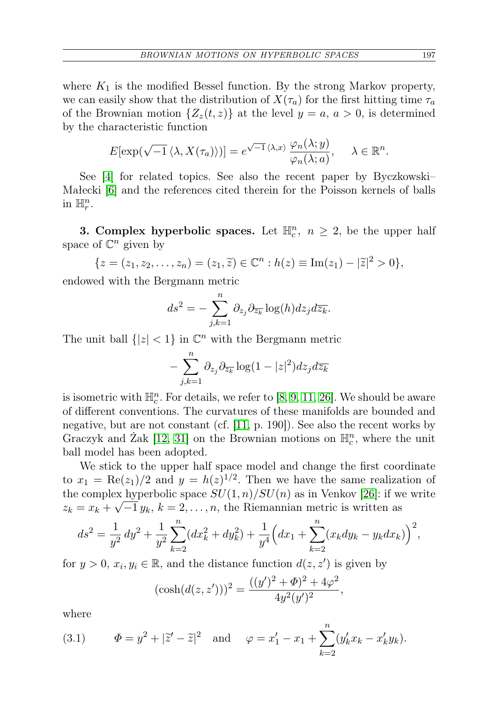where  $K_1$  is the modified Bessel function. By the strong Markov property, we can easily show that the distribution of  $X(\tau_a)$  for the first hitting time  $\tau_a$ of the Brownian motion  $\{Z_z(t,z)\}\$ at the level  $y=a, a>0$ , is determined by the characteristic function

$$
E[\exp(\sqrt{-1} \langle \lambda, X(\tau_a) \rangle)] = e^{\sqrt{-1} \langle \lambda, x \rangle} \frac{\varphi_n(\lambda; y)}{\varphi_n(\lambda; a)}, \quad \lambda \in \mathbb{R}^n.
$$

See [\[4\]](#page-21-10) for related topics. See also the recent paper by Byczkowski– Małecki [\[6\]](#page-21-11) and the references cited therein for the Poisson kernels of balls in  $\mathbb{H}_r^n$ .

**3. Complex hyperbolic spaces.** Let  $\mathbb{H}_c^n$ ,  $n \geq 2$ , be the upper half space of  $\mathbb{C}^n$  given by

$$
\{z = (z_1, z_2, \dots, z_n) = (z_1, \tilde{z}) \in \mathbb{C}^n : h(z) \equiv \text{Im}(z_1) - |\tilde{z}|^2 > 0\},\
$$

endowed with the Bergmann metric

$$
ds^{2} = -\sum_{j,k=1}^{n} \partial_{z_{j}} \partial_{\overline{z_{k}}} \log(h) dz_{j} d\overline{z_{k}}.
$$

The unit ball  $\{|z| < 1\}$  in  $\mathbb{C}^n$  with the Bergmann metric

$$
-\sum_{j,k=1}^n \partial_{z_j} \partial_{\overline{z_k}} \log(1-|z|^2) dz_j d\overline{z_k}
$$

is isometric with  $\mathbb{H}_c^n$ . For details, we refer to [\[8,](#page-21-12) [9,](#page-21-13) [11,](#page-21-14) [26\]](#page-22-1). We should be aware of different conventions. The curvatures of these manifolds are bounded and negative, but are not constant (cf. [\[11,](#page-21-14) p. 190]). See also the recent works by Graczyk and Żak [\[12,](#page-21-15) [31\]](#page-22-2) on the Brownian motions on  $\mathbb{H}_c^n$ , where the unit ball model has been adopted.

We stick to the upper half space model and change the first coordinate to  $x_1 = \text{Re}(z_1)/2$  and  $y = h(z)^{1/2}$ . Then we have the same realization of the complex hyperbolic space  $SU(1,n)/SU(n)$  as in Venkov [\[26\]](#page-22-1): if we write  $z_k = x_k + \sqrt{-1} y_k$ ,  $k = 2, \ldots, n$ , the Riemannian metric is written as

$$
ds^{2} = \frac{1}{y^{2}} dy^{2} + \frac{1}{y^{2}} \sum_{k=2}^{n} (dx_{k}^{2} + dy_{k}^{2}) + \frac{1}{y^{4}} \Big( dx_{1} + \sum_{k=2}^{n} (x_{k} dy_{k} - y_{k} dx_{k}) \Big)^{2},
$$

for  $y > 0$ ,  $x_i, y_i \in \mathbb{R}$ , and the distance function  $d(z, z')$  is given by

$$
(\cosh(d(z, z')))^2 = \frac{((y')^2 + \Phi)^2 + 4\varphi^2}{4y^2(y')^2},
$$

where

<span id="page-4-0"></span>(3.1) 
$$
\Phi = y^2 + |\tilde{z}' - \tilde{z}|^2 \text{ and } \varphi = x_1' - x_1 + \sum_{k=2}^n (y_k' x_k - x_k' y_k).
$$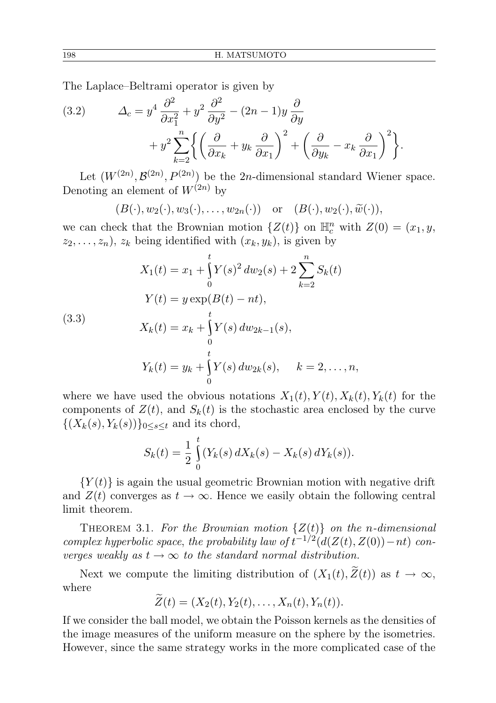The Laplace–Beltrami operator is given by

(3.2) 
$$
\Delta_c = y^4 \frac{\partial^2}{\partial x_1^2} + y^2 \frac{\partial^2}{\partial y^2} - (2n - 1)y \frac{\partial}{\partial y} + y^2 \sum_{k=2}^n \left\{ \left( \frac{\partial}{\partial x_k} + y_k \frac{\partial}{\partial x_1} \right)^2 + \left( \frac{\partial}{\partial y_k} - x_k \frac{\partial}{\partial x_1} \right)^2 \right\}.
$$

Let  $(W^{(2n)}, \mathcal{B}^{(2n)}, P^{(2n)})$  be the 2n-dimensional standard Wiener space. Denoting an element of  $W^{(2n)}$  by

$$
(B(\cdot), w_2(\cdot), w_3(\cdot), \ldots, w_{2n}(\cdot))
$$
 or  $(B(\cdot), w_2(\cdot), \widetilde{w}(\cdot)),$ 

we can check that the Brownian motion  $\{Z(t)\}$  on  $\mathbb{H}^n_c$  with  $Z(0) = (x_1, y,$  $z_2, \ldots, z_n$ ,  $z_k$  being identified with  $(x_k, y_k)$ , is given by

<span id="page-5-0"></span>(3.3)  
\n
$$
X_1(t) = x_1 + \int_0^t Y(s)^2 dw_2(s) + 2 \sum_{k=2}^n S_k(t)
$$
\n
$$
Y(t) = y \exp(B(t) - nt),
$$
\n
$$
X_k(t) = x_k + \int_0^t Y(s) dw_{2k-1}(s),
$$
\n
$$
Y_k(t) = y_k + \int_0^t Y(s) dw_{2k}(s), \quad k = 2, ..., n,
$$

where we have used the obvious notations  $X_1(t)$ ,  $Y(t)$ ,  $X_k(t)$ ,  $Y_k(t)$  for the components of  $Z(t)$ , and  $S_k(t)$  is the stochastic area enclosed by the curve  $\{(X_k(s), Y_k(s))\}_{0\leq s\leq t}$  and its chord,

$$
S_k(t) = \frac{1}{2} \int_0^t (Y_k(s) dX_k(s) - X_k(s) dY_k(s)).
$$

 ${Y(t)}$  is again the usual geometric Brownian motion with negative drift and  $Z(t)$  converges as  $t \to \infty$ . Hence we easily obtain the following central limit theorem.

THEOREM 3.1. For the Brownian motion  $\{Z(t)\}\$  on the n-dimensional complex hyperbolic space, the probability law of  $t^{-1/2}(d(Z(t), Z(0)) - nt)$  converges weakly as  $t \to \infty$  to the standard normal distribution.

Next we compute the limiting distribution of  $(X_1(t),\tilde{Z}(t))$  as  $t \to \infty$ , where

$$
\widetilde{Z}(t)=(X_2(t),Y_2(t),\ldots,X_n(t),Y_n(t)).
$$

If we consider the ball model, we obtain the Poisson kernels as the densities of the image measures of the uniform measure on the sphere by the isometries. However, since the same strategy works in the more complicated case of the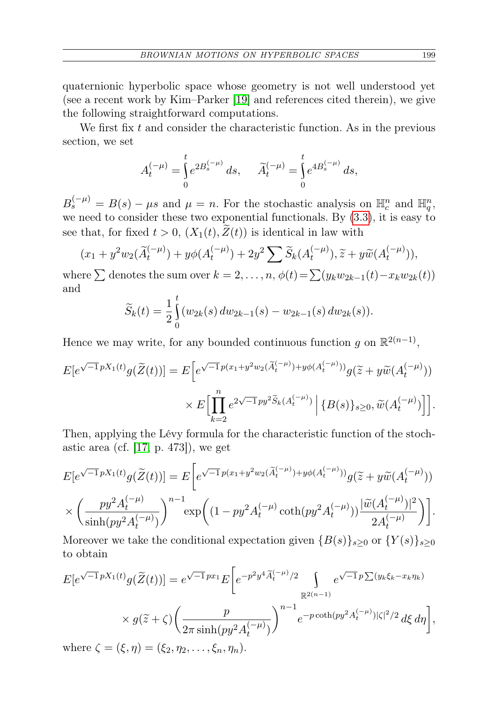quaternionic hyperbolic space whose geometry is not well understood yet (see a recent work by Kim–Parker [\[19\]](#page-21-16) and references cited therein), we give the following straightforward computations.

We first fix  $t$  and consider the characteristic function. As in the previous section, we set

$$
A_t^{(-\mu)} = \int_0^t e^{2B_s^{(-\mu)}} ds, \quad \widetilde{A}_t^{(-\mu)} = \int_0^t e^{4B_s^{(-\mu)}} ds,
$$

 $B_s^{(-\mu)} = B(s) - \mu s$  and  $\mu = n$ . For the stochastic analysis on  $\mathbb{H}_c^n$  and  $\mathbb{H}_q^n$ , we need to consider these two exponential functionals. By [\(3.3\)](#page-5-0), it is easy to see that, for fixed  $t > 0$ ,  $(X_1(t), \widetilde{Z}(t))$  is identical in law with

$$
(x_1 + y^2 w_2(\widetilde{A}_t^{(-\mu)}) + y\phi(A_t^{(-\mu)}) + 2y^2 \sum \widetilde{S}_k(A_t^{(-\mu)}), \widetilde{z} + y\widetilde{w}(A_t^{(-\mu)})),
$$

where  $\sum$  denotes the sum over  $k = 2, \ldots, n$ ,  $\phi(t) = \sum(y_k w_{2k-1}(t) - x_k w_{2k}(t))$ and

$$
\widetilde{S}_k(t) = \frac{1}{2} \int_0^t (w_{2k}(s) \, dw_{2k-1}(s) - w_{2k-1}(s) \, dw_{2k}(s)).
$$

Hence we may write, for any bounded continuous function g on  $\mathbb{R}^{2(n-1)}$ ,

$$
E[e^{\sqrt{-1}pX_1(t)}g(\widetilde{Z}(t))] = E\Big[e^{\sqrt{-1}p(x_1+y^2w_2(\widetilde{A}_t^{(-\mu)})+y\phi(A_t^{(-\mu)}))}g(\widetilde{z}+y\widetilde{w}(A_t^{(-\mu)}))\times E\Big[\prod_{k=2}^n e^{2\sqrt{-1}py^2\widetilde{S}_k(A_t^{(-\mu)})}\Big|\{B(s)\}_{s\geq 0},\widetilde{w}(A_t^{(-\mu)})\Big]\Big].
$$

Then, applying the Lévy formula for the characteristic function of the stochastic area (cf. [\[17,](#page-21-4) p. 473]), we get

$$
E[e^{\sqrt{-1}pX_1(t)}g(\widetilde{Z}(t))] = E\bigg[e^{\sqrt{-1}p(x_1+y^2w_2(\widetilde{A}_t^{(-\mu)})+y\phi(A_t^{(-\mu)}))}g(\widetilde{z}+y\widetilde{w}(A_t^{(-\mu)}))\bigg] \times \bigg(\frac{py^2A_t^{(-\mu)}}{\sinh(py^2A_t^{(-\mu)})}\bigg)^{n-1} \exp\bigg((1-py^2A_t^{(-\mu)})\coth(py^2A_t^{(-\mu)})\bigg)\frac{|\widetilde{w}(A_t^{(-\mu)})|^2}{2A_t^{(-\mu)}}\bigg)\bigg].
$$

Moreover we take the conditional expectation given  ${B(s)}_{s\geq0}$  or  ${Y(s)}_{s\geq0}$ to obtain

$$
E[e^{\sqrt{-1}pX_1(t)}g(\widetilde{Z}(t))] = e^{\sqrt{-1}px_1}E\left[e^{-p^2y^4\widetilde{A}_t^{(-\mu)}/2}\int\limits_{\mathbb{R}^{2(n-1)}}e^{\sqrt{-1}p\sum(y_k\xi_k-x_k\eta_k)}\right]
$$

$$
\times g(\widetilde{z}+\zeta)\left(\frac{p}{2\pi\sinh(py^2A_t^{(-\mu)})}\right)^{n-1}e^{-p\coth(py^2A_t^{(-\mu)})|\zeta|^2/2}d\xi\,d\eta\right],
$$

where  $\zeta = (\xi, \eta) = (\xi_2, \eta_2, \ldots, \xi_n, \eta_n).$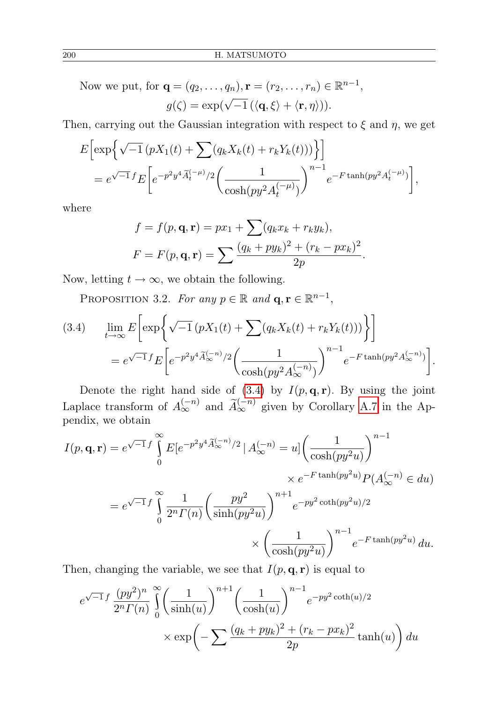Now we put, for 
$$
\mathbf{q} = (q_2, ..., q_n), \mathbf{r} = (r_2, ..., r_n) \in \mathbb{R}^{n-1}
$$
,  

$$
g(\zeta) = \exp(\sqrt{-1} (\langle \mathbf{q}, \xi \rangle + \langle \mathbf{r}, \eta \rangle)).
$$

Then, carrying out the Gaussian integration with respect to  $\xi$  and  $\eta$ , we get

$$
E\left[\exp\left\{\sqrt{-1}\left(pX_1(t) + \sum(q_k X_k(t) + r_k Y_k(t))\right)\right\}\right]
$$
  
=  $e^{\sqrt{-1}f}E\left[e^{-p^2y^4\widetilde{A}_t^{(-\mu)}/2}\left(\frac{1}{\cosh(py^2 A_t^{(-\mu)})}\right)^{n-1}e^{-F\tanh(py^2 A_t^{(-\mu)})}\right],$ 

where

$$
f = f(p, \mathbf{q}, \mathbf{r}) = px_1 + \sum (q_k x_k + r_k y_k),
$$
  

$$
F = F(p, \mathbf{q}, \mathbf{r}) = \sum \frac{(q_k + py_k)^2 + (r_k - px_k)^2}{2p}.
$$

Now, letting  $t \to \infty$ , we obtain the following.

PROPOSITION 3.2. For any  $p \in \mathbb{R}$  and  $\mathbf{q}, \mathbf{r} \in \mathbb{R}^{n-1}$ ,

<span id="page-7-0"></span>(3.4) 
$$
\lim_{t \to \infty} E \left[ \exp \left\{ \sqrt{-1} \left( pX_1(t) + \sum (q_k X_k(t) + r_k Y_k(t)) \right) \right\} \right]
$$
  
=  $e^{\sqrt{-1} f} E \left[ e^{-p^2 y^4 \widetilde{A}_{\infty}^{(-n)}/2} \left( \frac{1}{\cosh(p y^2 A_{\infty}^{(-n)})} \right)^{n-1} e^{-F \tanh(p y^2 A_{\infty}^{(-n)})} \right].$ 

Denote the right hand side of  $(3.4)$  by  $I(p, \mathbf{q}, \mathbf{r})$ . By using the joint Laplace transform of  $A_{\infty}^{(-n)}$  and  $\widetilde{A}_{\infty}^{(-n)}$  given by Corollary [A.7](#page-20-0) in the Appendix, we obtain

$$
I(p, \mathbf{q}, \mathbf{r}) = e^{\sqrt{-1}f} \int_{0}^{\infty} E[e^{-p^2 y^4 \widetilde{A}_{\infty}^{(-n)}/2} | A_{\infty}^{(-n)} = u] \left(\frac{1}{\cosh(p y^2 u)}\right)^{n-1} \times e^{-F \tanh(p y^2 u)} P(A_{\infty}^{(-n)} \in du)
$$
  
=  $e^{\sqrt{-1}f} \int_{0}^{\infty} \frac{1}{2^n \Gamma(n)} \left(\frac{py^2}{\sinh(p y^2 u)}\right)^{n+1} e^{-py^2 \coth(p y^2 u)/2} \times \left(\frac{1}{\cosh(p y^2 u)}\right)^{n-1} e^{-F \tanh(p y^2 u)} du.$ 

Then, changing the variable, we see that  $I(p, \mathbf{q}, \mathbf{r})$  is equal to

$$
e^{\sqrt{-1}f} \frac{(py^2)^n}{2^n \Gamma(n)} \int_0^\infty \left(\frac{1}{\sinh(u)}\right)^{n+1} \left(\frac{1}{\cosh(u)}\right)^{n-1} e^{-py^2 \coth(u)/2}
$$

$$
\times \exp\left(-\sum \frac{(q_k + py_k)^2 + (r_k - px_k)^2}{2p} \tanh(u)\right) du
$$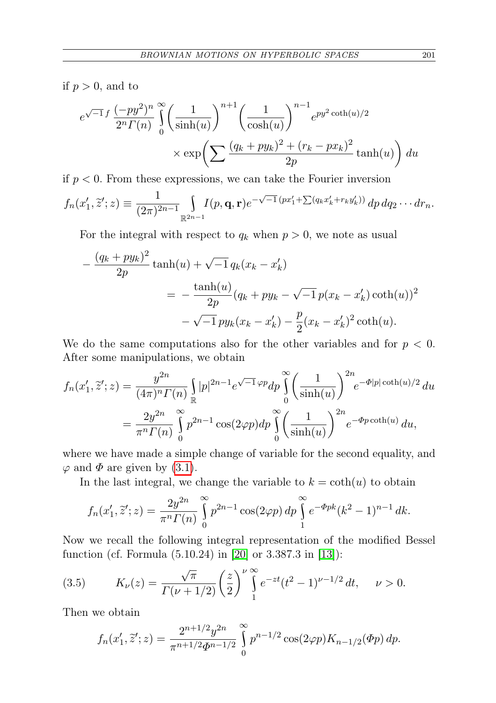if  $p > 0$ , and to

$$
e^{\sqrt{-1}f} \frac{(-py^2)^n}{2^n \Gamma(n)} \int_0^\infty \left(\frac{1}{\sinh(u)}\right)^{n+1} \left(\frac{1}{\cosh(u)}\right)^{n-1} e^{py^2 \coth(u)/2}
$$

$$
\times \exp\left(\sum \frac{(q_k + py_k)^2 + (r_k - px_k)^2}{2p} \tanh(u)\right) du
$$

if  $p < 0$ . From these expressions, we can take the Fourier inversion

$$
f_n(x'_1, \tilde{z}'; z) \equiv \frac{1}{(2\pi)^{2n-1}} \int_{\mathbb{R}^{2n-1}} I(p, \mathbf{q}, \mathbf{r}) e^{-\sqrt{-1} (px'_1 + \sum (q_k x'_k + r_k y'_k))} dp dq_2 \cdots dr_n.
$$

For the integral with respect to  $q_k$  when  $p > 0$ , we note as usual

$$
-\frac{(q_k+py_k)^2}{2p}\tanh(u) + \sqrt{-1}q_k(x_k - x'_k)
$$
  
= 
$$
-\frac{\tanh(u)}{2p}(q_k+py_k-\sqrt{-1}p(x_k-x'_k)\coth(u))^2
$$

$$
-\sqrt{-1}py_k(x_k-x'_k) - \frac{p}{2}(x_k-x'_k)^2\coth(u).
$$

We do the same computations also for the other variables and for  $p < 0$ . After some manipulations, we obtain

$$
f_n(x'_1, \tilde{z}'; z) = \frac{y^{2n}}{(4\pi)^n \Gamma(n)} \int_{\mathbb{R}} |p|^{2n-1} e^{\sqrt{-1}\varphi p} dp \int_0^{\infty} \left(\frac{1}{\sinh(u)}\right)^{2n} e^{-\Phi|p| \coth(u)/2} du
$$
  
= 
$$
\frac{2y^{2n}}{\pi^n \Gamma(n)} \int_0^{\infty} p^{2n-1} \cos(2\varphi p) dp \int_0^{\infty} \left(\frac{1}{\sinh(u)}\right)^{2n} e^{-\Phi p \coth(u)} du,
$$

where we have made a simple change of variable for the second equality, and  $\varphi$  and  $\Phi$  are given by [\(3.1\)](#page-4-0).

In the last integral, we change the variable to  $k = \coth(u)$  to obtain

$$
f_n(x'_1, \tilde{z}'; z) = \frac{2y^{2n}}{\pi^n \Gamma(n)} \int_0^\infty p^{2n-1} \cos(2\varphi p) \, dp \int_1^\infty e^{-\Phi p k} (k^2 - 1)^{n-1} \, dk.
$$

Now we recall the following integral representation of the modified Bessel function (cf. Formula (5.10.24) in [\[20\]](#page-21-17) or 3.387.3 in [\[13\]](#page-21-18)):

(3.5) 
$$
K_{\nu}(z) = \frac{\sqrt{\pi}}{\Gamma(\nu + 1/2)} \left(\frac{z}{2}\right)^{\nu} \int_{1}^{\infty} e^{-zt} (t^2 - 1)^{\nu - 1/2} dt, \quad \nu > 0.
$$

Then we obtain

<span id="page-8-0"></span>
$$
f_n(x'_1, \tilde{z}'; z) = \frac{2^{n+1/2} y^{2n}}{\pi^{n+1/2} \Phi^{n-1/2}} \int_0^\infty p^{n-1/2} \cos(2\varphi p) K_{n-1/2}(\Phi p) dp.
$$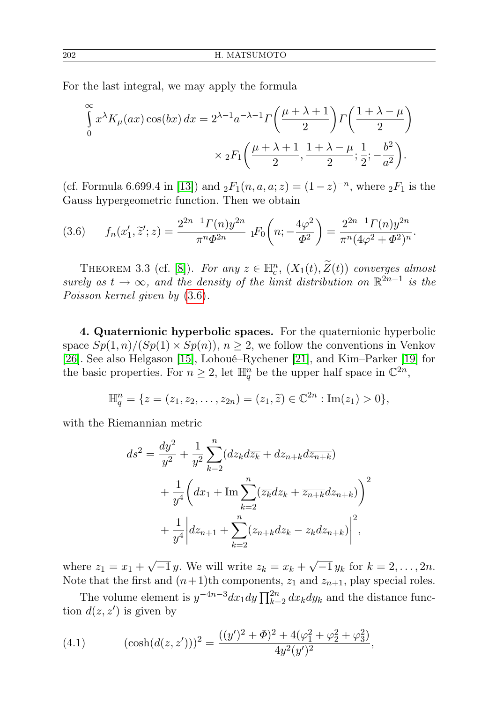For the last integral, we may apply the formula

$$
\int_{0}^{\infty} x^{\lambda} K_{\mu}(ax) \cos(bx) dx = 2^{\lambda - 1} a^{-\lambda - 1} \Gamma\left(\frac{\mu + \lambda + 1}{2}\right) \Gamma\left(\frac{1 + \lambda - \mu}{2}\right)
$$

$$
\times {}_{2}F_{1}\left(\frac{\mu + \lambda + 1}{2}, \frac{1 + \lambda - \mu}{2}; \frac{1}{2}; -\frac{b^{2}}{a^{2}}\right).
$$

(cf. Formula 6.699.4 in [\[13\]](#page-21-18)) and  ${}_2F_1(n, a, a; z) = (1-z)^{-n}$ , where  ${}_2F_1$  is the Gauss hypergeometric function. Then we obtain

<span id="page-9-0"></span>(3.6) 
$$
f_n(x'_1, \tilde{z}'; z) = \frac{2^{2n-1} \Gamma(n) y^{2n}}{\pi^n \Phi^{2n}} \; {}_1F_0\left(n; -\frac{4\varphi^2}{\Phi^2}\right) = \frac{2^{2n-1} \Gamma(n) y^{2n}}{\pi^n (4\varphi^2 + \Phi^2)^n}.
$$

THEOREM 3.3 (cf. [\[8\]](#page-21-12)). For any  $z \in \mathbb{H}_c^n$ ,  $(X_1(t), \tilde{Z}(t))$  converges almost surely as  $t \to \infty$ , and the density of the limit distribution on  $\mathbb{R}^{2n-1}$  is the Poisson kernel given by [\(3.6\)](#page-9-0).

4. Quaternionic hyperbolic spaces. For the quaternionic hyperbolic space  $Sp(1, n)/(Sp(1) \times Sp(n))$ ,  $n \geq 2$ , we follow the conventions in Venkov [\[26\]](#page-22-1). See also Helgason [\[15\]](#page-21-19), Lohoué–Rychener [\[21\]](#page-21-20), and Kim–Parker [\[19\]](#page-21-16) for the basic properties. For  $n \geq 2$ , let  $\mathbb{H}^n_q$  be the upper half space in  $\mathbb{C}^{2n}$ ,

$$
\mathbb{H}_q^n = \{ z = (z_1, z_2, \dots, z_{2n}) = (z_1, \widetilde{z}) \in \mathbb{C}^{2n} : \text{Im}(z_1) > 0 \},
$$

with the Riemannian metric

$$
ds^{2} = \frac{dy^{2}}{y^{2}} + \frac{1}{y^{2}} \sum_{k=2}^{n} (dz_{k}d\overline{z}_{k} + dz_{n+k}d\overline{z}_{n+k})
$$
  
+ 
$$
\frac{1}{y^{4}} \left( dx_{1} + \text{Im} \sum_{k=2}^{n} (\overline{z}_{k}dz_{k} + \overline{z_{n+k}}dz_{n+k}) \right)^{2}
$$

$$
+ \frac{1}{y^{4}} \left| dz_{n+1} + \sum_{k=2}^{n} (z_{n+k}dz_{k} - z_{k}dz_{n+k}) \right|^{2},
$$

where  $z_1 = x_1 +$ √  $-1 y$ . We will write  $z_k = x_k +$ √  $-1 y_k$  for  $k = 2, ..., 2n$ . Note that the first and  $(n+1)$ th components,  $z_1$  and  $z_{n+1}$ , play special roles.

The volume element is  $y^{-4n-3}dx_1dy \prod_{k=2}^{2n} dx_kdy_k$  and the distance function  $d(z, z')$  is given by

<span id="page-9-1"></span>(4.1) 
$$
(\cosh(d(z, z')))^2 = \frac{((y')^2 + \Phi)^2 + 4(\varphi_1^2 + \varphi_2^2 + \varphi_3^2)}{4y^2(y')^2},
$$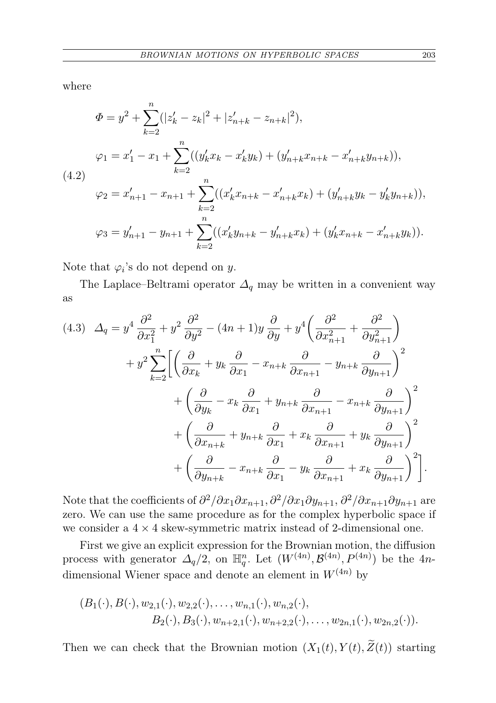where

<span id="page-10-0"></span>
$$
\Phi = y^2 + \sum_{k=2}^n (|z'_k - z_k|^2 + |z'_{n+k} - z_{n+k}|^2),
$$
  
\n
$$
\varphi_1 = x'_1 - x_1 + \sum_{k=2}^n ((y'_k x_k - x'_k y_k) + (y'_{n+k} x_{n+k} - x'_{n+k} y_{n+k})),
$$
  
\n(4.2)  
\n
$$
\varphi_2 = x'_{n+1} - x_{n+1} + \sum_{k=2}^n ((x'_k x_{n+k} - x'_{n+k} x_k) + (y'_{n+k} y_k - y'_k y_{n+k})),
$$
  
\n
$$
\varphi_3 = y'_{n+1} - y_{n+1} + \sum_{k=2}^n ((x'_k y_{n+k} - y'_{n+k} x_k) + (y'_k x_{n+k} - x'_{n+k} y_k)).
$$

Note that  $\varphi_i$ 's do not depend on y.

The Laplace–Beltrami operator  $\Delta_q$  may be written in a convenient way as

$$
(4.3) \quad \Delta_q = y^4 \frac{\partial^2}{\partial x_1^2} + y^2 \frac{\partial^2}{\partial y^2} - (4n+1)y \frac{\partial}{\partial y} + y^4 \left( \frac{\partial^2}{\partial x_{n+1}^2} + \frac{\partial^2}{\partial y_{n+1}^2} \right) + y^2 \sum_{k=2}^n \left[ \left( \frac{\partial}{\partial x_k} + y_k \frac{\partial}{\partial x_1} - x_{n+k} \frac{\partial}{\partial x_{n+1}} - y_{n+k} \frac{\partial}{\partial y_{n+1}} \right)^2 + \left( \frac{\partial}{\partial y_k} - x_k \frac{\partial}{\partial x_1} + y_{n+k} \frac{\partial}{\partial x_{n+1}} - x_{n+k} \frac{\partial}{\partial y_{n+1}} \right)^2 + \left( \frac{\partial}{\partial x_{n+k}} + y_{n+k} \frac{\partial}{\partial x_1} + x_k \frac{\partial}{\partial x_{n+1}} + y_k \frac{\partial}{\partial y_{n+1}} \right)^2 + \left( \frac{\partial}{\partial y_{n+k}} - x_{n+k} \frac{\partial}{\partial x_1} - y_k \frac{\partial}{\partial x_{n+1}} + x_k \frac{\partial}{\partial y_{n+1}} \right)^2 \right].
$$

Note that the coefficients of  $\partial^2/\partial x_1\partial x_{n+1}, \partial^2/\partial x_1\partial y_{n+1}, \partial^2/\partial x_{n+1}\partial y_{n+1}$  are zero. We can use the same procedure as for the complex hyperbolic space if we consider a  $4 \times 4$  skew-symmetric matrix instead of 2-dimensional one.

First we give an explicit expression for the Brownian motion, the diffusion process with generator  $\Delta_q/2$ , on  $\mathbb{H}_q^n$ . Let  $(W^{(4n)}, \mathcal{B}^{(4n)}, P^{(4n)})$  be the 4ndimensional Wiener space and denote an element in  $W^{(4n)}$  by

$$
(B_1(\cdot), B(\cdot), w_{2,1}(\cdot), w_{2,2}(\cdot), \ldots, w_{n,1}(\cdot), w_{n,2}(\cdot),
$$
  

$$
B_2(\cdot), B_3(\cdot), w_{n+2,1}(\cdot), w_{n+2,2}(\cdot), \ldots, w_{2n,1}(\cdot), w_{2n,2}(\cdot)).
$$

Then we can check that the Brownian motion  $(X_1(t), Y(t), \widetilde{Z}(t))$  starting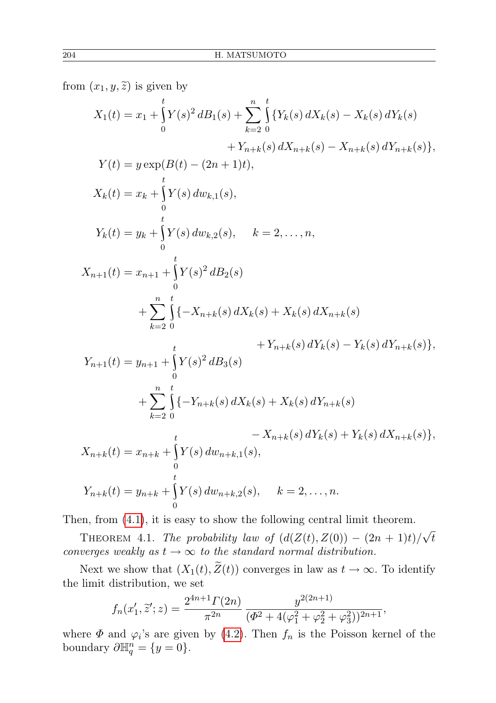from  $(x_1, y, \tilde{z})$  is given by

$$
X_1(t) = x_1 + \int_0^t Y(s)^2 dB_1(s) + \sum_{k=2}^n \int_0^t \{Y_k(s) dX_k(s) - X_k(s) dY_k(s) + Y_{n+k}(s) dX_{n+k}(s) - X_{n+k}(s) dY_{n+k}(s)\},
$$
  
\n
$$
Y(t) = y \exp(B(t) - (2n + 1)t),
$$
  
\n
$$
X_k(t) = x_k + \int_0^t Y(s) dw_{k,1}(s),
$$
  
\n
$$
Y_k(t) = y_k + \int_0^t Y(s) dw_{k,2}(s), \quad k = 2, ..., n,
$$
  
\n
$$
X_{n+1}(t) = x_{n+1} + \int_0^t Y(s)^2 dB_2(s)
$$
  
\n
$$
+ \sum_{k=2}^n \int_0^t \{-X_{n+k}(s) dX_k(s) + X_k(s) dX_{n+k}(s) + Y_{n+k}(s) dY_k(s) - Y_k(s) dY_{n+k}(s)\},
$$
  
\n
$$
Y_{n+1}(t) = y_{n+1} + \int_0^t Y(s)^2 dB_3(s)
$$
  
\n
$$
+ \sum_{k=2}^n \int_0^t \{-Y_{n+k}(s) dX_k(s) + X_k(s) dY_{n+k}(s) - Y_k(s) dY_{n+k}(s)\},
$$
  
\n
$$
X_{n+k}(t) = x_{n+k} + \int_0^t Y(s) dw_{n+k,1}(s),
$$
  
\n
$$
Y_{n+k}(t) = y_{n+k} + \int_0^t Y(s) dw_{n+k,2}(s), \quad k = 2, ..., n.
$$

0 Then, from [\(4.1\)](#page-9-1), it is easy to show the following central limit theorem.

THEOREM 4.1. The probability law of  $(d(Z(t), Z(0)) - (2n + 1)t)/\sqrt{2}$ t converges weakly as  $t \to \infty$  to the standard normal distribution.

Next we show that  $(X_1(t),\widetilde{Z}(t))$  converges in law as  $t \to \infty$ . To identify the limit distribution, we set

$$
f_n(x'_1, \tilde{z}'; z) = \frac{2^{4n+1} \Gamma(2n)}{\pi^{2n}} \frac{y^{2(2n+1)}}{(\Phi^2 + 4(\varphi_1^2 + \varphi_2^2 + \varphi_3^2))^{2n+1}},
$$

<span id="page-11-0"></span>where  $\Phi$  and  $\varphi_i$ 's are given by [\(4.2\)](#page-10-0). Then  $f_n$  is the Poisson kernel of the boundary  $\partial \mathbb{H}^n_q = \{y = 0\}.$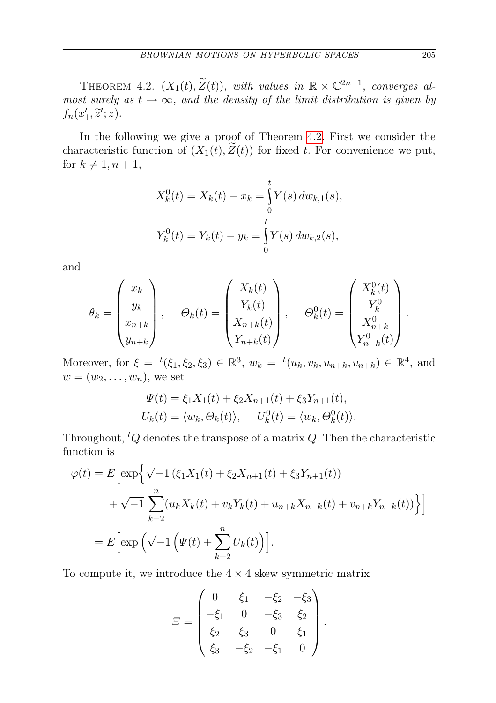THEOREM 4.2.  $(X_1(t), \widetilde{Z}(t))$ , with values in  $\mathbb{R} \times \mathbb{C}^{2n-1}$ , converges almost surely as  $t \to \infty$ , and the density of the limit distribution is given by  $f_n(x'_1, \tilde{z}'; z).$ 

In the following we give a proof of Theorem [4.2.](#page-11-0) First we consider the characteristic function of  $(X_1(t),\tilde{Z}(t))$  for fixed t. For convenience we put, for  $k \neq 1, n + 1$ ,

$$
X_k^0(t) = X_k(t) - x_k = \int_0^t Y(s) dw_{k,1}(s),
$$
  

$$
Y_k^0(t) = Y_k(t) - y_k = \int_0^t Y(s) dw_{k,2}(s),
$$

and

$$
\theta_k = \begin{pmatrix} x_k \\ y_k \\ x_{n+k} \\ y_{n+k} \end{pmatrix}, \quad \Theta_k(t) = \begin{pmatrix} X_k(t) \\ Y_k(t) \\ X_{n+k}(t) \\ Y_{n+k}(t) \end{pmatrix}, \quad \Theta_k^0(t) = \begin{pmatrix} X_k^0(t) \\ Y_k^0 \\ X_{n+k}^0 \\ Y_{n+k}^0(t) \end{pmatrix}.
$$

Moreover, for  $\xi = {}^{t}(\xi_1, \xi_2, \xi_3) \in \mathbb{R}^3$ ,  $w_k = {}^{t}(u_k, v_k, u_{n+k}, v_{n+k}) \in \mathbb{R}^4$ , and  $w=(w_2,\ldots,w_n)$ , we set

$$
\Psi(t) = \xi_1 X_1(t) + \xi_2 X_{n+1}(t) + \xi_3 Y_{n+1}(t),
$$
  
\n
$$
U_k(t) = \langle w_k, \Theta_k(t) \rangle, \quad U_k^0(t) = \langle w_k, \Theta_k^0(t) \rangle.
$$

Throughout,  ${}^tQ$  denotes the transpose of a matrix  $Q$ . Then the characteristic function is

$$
\varphi(t) = E \Big[ \exp \Big\{ \sqrt{-1} \left( \xi_1 X_1(t) + \xi_2 X_{n+1}(t) + \xi_3 Y_{n+1}(t) \right) \right. \\ \left. + \sqrt{-1} \sum_{k=2}^n (u_k X_k(t) + v_k Y_k(t) + u_{n+k} X_{n+k}(t) + v_{n+k} Y_{n+k}(t)) \Big\} \Big]
$$
  
= 
$$
E \Big[ \exp \Big( \sqrt{-1} \Big( \Psi(t) + \sum_{k=2}^n U_k(t) \Big) \Big].
$$

To compute it, we introduce the  $4 \times 4$  skew symmetric matrix

$$
\Xi = \begin{pmatrix}\n0 & \xi_1 & -\xi_2 & -\xi_3 \\
-\xi_1 & 0 & -\xi_3 & \xi_2 \\
\xi_2 & \xi_3 & 0 & \xi_1 \\
\xi_3 & -\xi_2 & -\xi_1 & 0\n\end{pmatrix}.
$$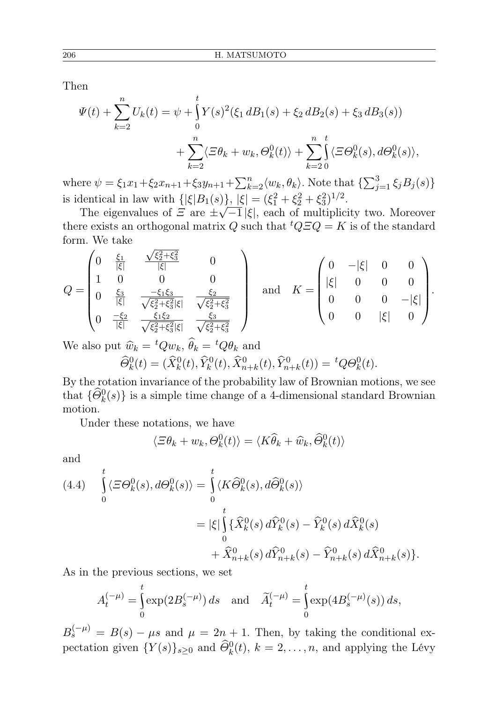Then

$$
\Psi(t) + \sum_{k=2}^{n} U_k(t) = \psi + \int_{0}^{t} Y(s)^2 (\xi_1 dB_1(s) + \xi_2 dB_2(s) + \xi_3 dB_3(s)) \n+ \sum_{k=2}^{n} \langle \Xi \theta_k + w_k, \Theta_k^0(t) \rangle + \sum_{k=2}^{n} \int_{0}^{t} \langle \Xi \Theta_k^0(s), d\Theta_k^0(s) \rangle,
$$

where  $\psi = \xi_1 x_1 + \xi_2 x_{n+1} + \xi_3 y_{n+1} + \sum_{k=2}^n \langle w_k, \theta_k \rangle$ . Note that  $\{\sum_{j=1}^3 \xi_j B_j(s)\}$ is identical in law with  $\{|\xi|B_1(s)\}, |\xi| = (\xi_1^2 + \xi_2^2 + \xi_3^2)^{1/2}.$ 

The eigenvalues of  $\mathcal{Z}$  are  $\pm \sqrt{-1} |\xi|$ , each of multiplicity two. Moreover there exists an orthogonal matrix Q such that  ${}^tQ\overline{z}Q = K$  is of the standard form. We take √

$$
Q = \begin{pmatrix} 0 & \frac{\xi_1}{|\xi|} & \frac{\sqrt{\xi_2^2 + \xi_3^2}}{|\xi|} & 0 \\ 1 & 0 & 0 & 0 \\ 0 & \frac{\xi_3}{|\xi|} & \frac{-\xi_1 \xi_3}{\sqrt{\xi_2^2 + \xi_3^2} |\xi|} & \frac{\xi_2}{\sqrt{\xi_2^2 + \xi_3^2}} \\ 0 & \frac{-\xi_2}{|\xi|} & \frac{\xi_1 \xi_2}{\sqrt{\xi_2^2 + \xi_3^2} |\xi|} & \frac{\xi_3}{\sqrt{\xi_2^2 + \xi_3^2}} \end{pmatrix} \text{ and } K = \begin{pmatrix} 0 & -|\xi| & 0 & 0 \\ |\xi| & 0 & 0 & 0 \\ 0 & 0 & 0 & -|\xi| \\ 0 & 0 & |\xi| & 0 \end{pmatrix}.
$$

We also put  $\widehat{w}_k = {}^tQw_k$ ,  $\widehat{\theta}_k = {}^tQ\theta_k$  and  $\widehat{\Theta}_k^0(t) = (\widehat{X}_k^0(t), \widehat{Y}_k^0(t), \widehat{X}_{n+k}^0(t), \widehat{Y}_{n+k}^0(t)) = {}^t Q \Theta_k^0(t).$ 

By the rotation invariance of the probability law of Brownian motions, we see that  $\{\widehat{\Theta}_k^0(s)\}\$ is a simple time change of a 4-dimensional standard Brownian motion.

Under these notations, we have

$$
\langle \Xi \theta_k + w_k, \Theta_k^0(t) \rangle = \langle K \widehat{\theta}_k + \widehat{w}_k, \widehat{\Theta}_k^0(t) \rangle
$$

and

$$
(4.4) \int_{0}^{t} \langle \varXi \Theta_{k}^{0}(s), d\Theta_{k}^{0}(s) \rangle = \int_{0}^{t} \langle K \widehat{\Theta}_{k}^{0}(s), d\widehat{\Theta}_{k}^{0}(s) \rangle
$$
  

$$
= |\xi| \int_{0}^{t} \{ \widehat{X}_{k}^{0}(s) d\widehat{Y}_{k}^{0}(s) - \widehat{Y}_{k}^{0}(s) d\widehat{X}_{k}^{0}(s)
$$
  

$$
+ \widehat{X}_{n+k}^{0}(s) d\widehat{Y}_{n+k}^{0}(s) - \widehat{Y}_{n+k}^{0}(s) d\widehat{X}_{n+k}^{0}(s) \}.
$$

As in the previous sections, we set

$$
A_t^{(-\mu)} = \int_0^t \exp(2B_s^{(-\mu)}) ds \text{ and } \tilde{A}_t^{(-\mu)} = \int_0^t \exp(4B_s^{(-\mu)}(s)) ds,
$$

 $B_s^{(-\mu)} = B(s) - \mu s$  and  $\mu = 2n + 1$ . Then, by taking the conditional expectation given  $\{Y(s)\}_{s\geq 0}$  and  $\widehat{\Theta}_k^0(t)$ ,  $k=2,\ldots,n$ , and applying the Lévy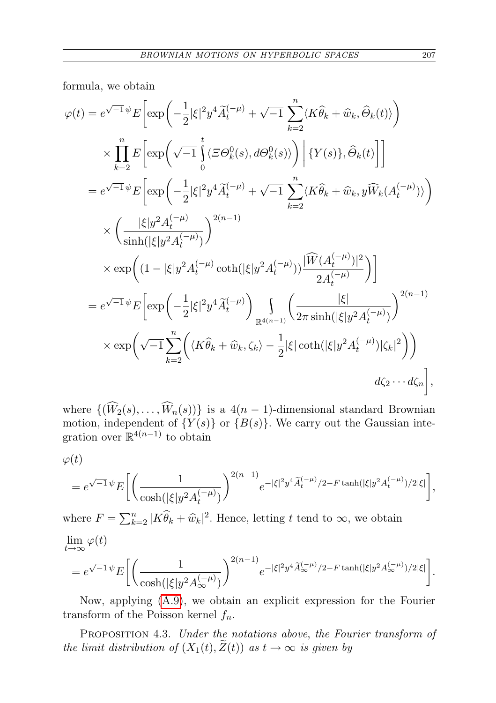formula, we obtain

$$
\varphi(t) = e^{\sqrt{-1}\psi} E \bigg[ \exp\bigg( -\frac{1}{2} |\xi|^2 y^4 \widetilde{A}_t^{(-\mu)} + \sqrt{-1} \sum_{k=2}^n \langle K\hat{\theta}_k + \widehat{w}_k, \widehat{\theta}_k(t) \rangle \bigg)
$$
  

$$
\times \prod_{k=2}^n E \bigg[ \exp\bigg( \sqrt{-1} \int_0^t \langle \Xi \Theta_k^0(s), d\Theta_k^0(s) \rangle \bigg) \bigg| \{Y(s)\}, \widehat{\Theta}_k(t) \bigg] \bigg]
$$
  

$$
= e^{\sqrt{-1}\psi} E \bigg[ \exp\bigg( -\frac{1}{2} |\xi|^2 y^4 \widetilde{A}_t^{(-\mu)} + \sqrt{-1} \sum_{k=2}^n \langle K\hat{\theta}_k + \widehat{w}_k, y \widehat{W}_k(A_t^{(-\mu)}) \rangle \bigg)
$$
  

$$
\times \bigg( \frac{|\xi| y^2 A_t^{(-\mu)}}{\sinh(|\xi| y^2 A_t^{(-\mu)})} \bigg)^{2(n-1)}
$$
  

$$
\times \exp\bigg( (1 - |\xi| y^2 A_t^{(-\mu)} \coth(|\xi| y^2 A_t^{(-\mu)})) \frac{|\widehat{W}(A_t^{(-\mu)})|^2}{2A_t^{(-\mu)}} \bigg) \bigg]
$$
  

$$
= e^{\sqrt{-1}\psi} E \bigg[ \exp\bigg( -\frac{1}{2} |\xi|^2 y^4 \widetilde{A}_t^{(-\mu)} \bigg) \bigg] \bigg( \frac{|\xi|}{2\pi \sinh(|\xi| y^2 A_t^{(-\mu)})} \bigg)^{2(n-1)}
$$
  

$$
\times \exp\bigg( \sqrt{-1} \sum_{k=2}^n \bigg( \langle K\hat{\theta}_k + \widehat{w}_k, \zeta_k \rangle - \frac{1}{2} |\xi| \coth(|\xi| y^2 A_t^{(-\mu)}) |\zeta_k|^2 \bigg) \bigg)
$$
  

$$
d\zeta_2 \cdots d\zeta_n \bigg],
$$

where  $\{(\widehat{W}_2(s), \ldots, \widehat{W}_n(s))\}$  is a 4(n – 1)-dimensional standard Brownian motion, independent of  $\{Y(s)\}\$  or  $\{B(s)\}\$ . We carry out the Gaussian integration over  $\mathbb{R}^{4(n-1)}$  to obtain

 $\varphi(t)$ 

$$
= e^{\sqrt{-1}\psi} E\bigg[ \bigg(\frac{1}{\cosh(|\xi|y^2A_t^{(-\mu)})}\bigg)^{2(n-1)} e^{-|\xi|^2y^4\widetilde{A}_t^{(-\mu)}/2 - F \tanh(|\xi|y^2A_t^{(-\mu)})/2|\xi|} \bigg],
$$

where  $F = \sum_{k=2}^{n} |K \widehat{\theta}_k + \widehat{w}_k|^2$ . Hence, letting t tend to  $\infty$ , we obtain

$$
\lim_{t \to \infty} \varphi(t)
$$
\n
$$
= e^{\sqrt{-1}\psi} E\left[ \left( \frac{1}{\cosh(|\xi|y^2 A_{\infty}^{(-\mu)})} \right)^{2(n-1)} e^{-|\xi|^2 y^4 \widetilde{A}_{\infty}^{(-\mu)}/2 - F \tanh(|\xi|y^2 A_{\infty}^{(-\mu)})/2|\xi|} \right].
$$

Now, applying [\(A.9\)](#page-20-1), we obtain an explicit expression for the Fourier transform of the Poisson kernel  $f_n$ .

PROPOSITION 4.3. Under the notations above, the Fourier transform of the limit distribution of  $(X_1(t),\tilde{Z}(t))$  as  $t\to\infty$  is given by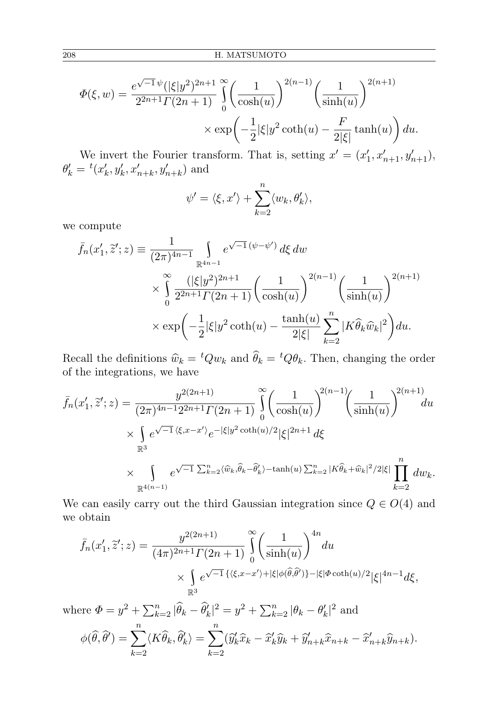$$
\Phi(\xi, w) = \frac{e^{\sqrt{-1}\psi}(|\xi|y^2)^{2n+1}}{2^{2n+1}\Gamma(2n+1)} \int_0^\infty \left(\frac{1}{\cosh(u)}\right)^{2(n-1)} \left(\frac{1}{\sinh(u)}\right)^{2(n+1)} \times \exp\left(-\frac{1}{2}|\xi|y^2\coth(u) - \frac{F}{2|\xi|}\tanh(u)\right) du.
$$

We invert the Fourier transform. That is, setting  $x' = (x'_1, x'_{n+1}, y'_{n+1}),$  $\theta'_{k} = {}^{t}(x'_{k}, y'_{k}, x'_{n+k}, y'_{n+k})$  and

$$
\psi' = \langle \xi, x' \rangle + \sum_{k=2}^{n} \langle w_k, \theta'_k \rangle,
$$

we compute

$$
\bar{f}_n(x'_1, \tilde{z}'; z) \equiv \frac{1}{(2\pi)^{4n-1}} \int_{\mathbb{R}^{4n-1}} e^{\sqrt{-1} (\psi - \psi')} d\xi \, dw
$$
\n
$$
\times \int_0^\infty \frac{(|\xi| y^2)^{2n+1}}{2^{2n+1} \Gamma(2n+1)} \left(\frac{1}{\cosh(u)}\right)^{2(n-1)} \left(\frac{1}{\sinh(u)}\right)^{2(n+1)}
$$
\n
$$
\times \exp\left(-\frac{1}{2} |\xi| y^2 \coth(u) - \frac{\tanh(u)}{2|\xi|} \sum_{k=2}^n |K \hat{\theta}_k \hat{w}_k|^2\right) du.
$$

Recall the definitions  $\hat{w}_k = {}^tQw_k$  and  $\hat{\theta}_k = {}^tQ\theta_k$ . Then, changing the order of the integrations we have of the integrations, we have

$$
\bar{f}_n(x'_1, \tilde{z}'; z) = \frac{y^{2(2n+1)}}{(2\pi)^{4n-1}2^{2n+1}\Gamma(2n+1)} \int_0^\infty \left(\frac{1}{\cosh(u)}\right)^{2(n-1)} \left(\frac{1}{\sinh(u)}\right)^{2(n+1)} du
$$
\n
$$
\times \int_{\mathbb{R}^3} e^{\sqrt{-1}\langle\xi, x-x'\rangle} e^{-|\xi|y^2 \coth(u)/2} |\xi|^{2n+1} d\xi
$$
\n
$$
\times \int_{\mathbb{R}^{4(n-1)}} e^{\sqrt{-1}\sum_{k=2}^n \langle\widehat{w}_k, \widehat{\theta}_k - \widehat{\theta}'_k \rangle - \tanh(u)\sum_{k=2}^n |K\widehat{\theta}_k + \widehat{w}_k|^2/2|\xi|} \prod_{k=2}^n dw_k.
$$

We can easily carry out the third Gaussian integration since  $Q \in O(4)$  and we obtain

$$
\bar{f}_n(x'_1, \tilde{z}'; z) = \frac{y^{2(2n+1)}}{(4\pi)^{2n+1}\Gamma(2n+1)} \int_0^\infty \left(\frac{1}{\sinh(u)}\right)^{4n} du
$$
  
 
$$
\times \int_{\mathbb{R}^3} e^{\sqrt{-1}\left\{\langle \xi, x - x' \rangle + |\xi| \phi(\hat{\theta}, \hat{\theta}')\right\} - |\xi| \Phi \coth(u)/2} |\xi|^{4n-1} d\xi,
$$

where  $\Phi = y^2 + \sum_{k=2}^n |\hat{\theta}_k - \hat{\theta}'_k|^2 = y^2 + \sum_{k=2}^n |\theta_k - \theta'_k|^2$  and

$$
\phi(\widehat{\theta},\widehat{\theta}') = \sum_{k=2}^{n} \langle K\widehat{\theta}_k, \widehat{\theta}'_k \rangle = \sum_{k=2}^{n} (\widehat{y}'_k \widehat{x}_k - \widehat{x}'_k \widehat{y}_k + \widehat{y}'_{n+k} \widehat{x}_{n+k} - \widehat{x}'_{n+k} \widehat{y}_{n+k}).
$$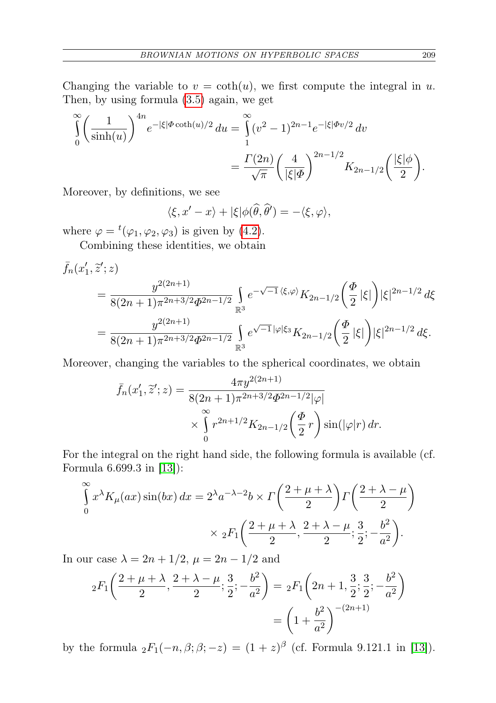Changing the variable to  $v = \coth(u)$ , we first compute the integral in u. Then, by using formula [\(3.5\)](#page-8-0) again, we get

$$
\int_{0}^{\infty} \left(\frac{1}{\sinh(u)}\right)^{4n} e^{-|\xi|\Phi \coth(u)/2} du = \int_{1}^{\infty} (v^2 - 1)^{2n-1} e^{-|\xi|\Phi v/2} dv
$$
  
= 
$$
\frac{\Gamma(2n)}{\sqrt{\pi}} \left(\frac{4}{|\xi|\Phi}\right)^{2n-1/2} K_{2n-1/2} \left(\frac{|\xi|\phi}{2}\right).
$$

Moreover, by definitions, we see

$$
\langle \xi, x'-x \rangle + |\xi| \phi(\widehat{\theta}, \widehat{\theta}') = -\langle \xi, \varphi \rangle,
$$

where  $\varphi = {}^{t}(\varphi_1, \varphi_2, \varphi_3)$  is given by [\(4.2\)](#page-10-0).

Combining these identities, we obtain

$$
\bar{f}_n(x'_1, \tilde{z}'; z) = \frac{y^{2(2n+1)}}{8(2n+1)\pi^{2n+3/2}\Phi^{2n-1/2}} \int_{\mathbb{R}^3} e^{-\sqrt{-1}\langle\xi,\varphi\rangle} K_{2n-1/2}\left(\frac{\Phi}{2}|\xi|\right) |\xi|^{2n-1/2} d\xi
$$

$$
= \frac{y^{2(2n+1)}}{8(2n+1)\pi^{2n+3/2}\Phi^{2n-1/2}} \int_{\mathbb{R}^3} e^{\sqrt{-1}|\varphi|\xi_3} K_{2n-1/2}\left(\frac{\Phi}{2}|\xi|\right) |\xi|^{2n-1/2} d\xi.
$$

Moreover, changing the variables to the spherical coordinates, we obtain

$$
\bar{f}_n(x'_1, \tilde{z}'; z) = \frac{4\pi y^{2(2n+1)}}{8(2n+1)\pi^{2n+3/2}\Phi^{2n-1/2}|\varphi|} \times \int_{0}^{\infty} r^{2n+1/2} K_{2n-1/2}\left(\frac{\Phi}{2}r\right) \sin(|\varphi|r) dr.
$$

For the integral on the right hand side, the following formula is available (cf. Formula 6.699.3 in [\[13\]](#page-21-18)):

$$
\int_{0}^{\infty} x^{\lambda} K_{\mu}(ax) \sin(bx) dx = 2^{\lambda} a^{-\lambda - 2} b \times \Gamma\left(\frac{2 + \mu + \lambda}{2}\right) \Gamma\left(\frac{2 + \lambda - \mu}{2}\right)
$$

$$
\times 2F_{1}\left(\frac{2 + \mu + \lambda}{2}, \frac{2 + \lambda - \mu}{2}; \frac{3}{2}; -\frac{b^{2}}{a^{2}}\right).
$$

In our case  $\lambda = 2n + 1/2$ ,  $\mu = 2n - 1/2$  and

$$
{}_{2}F_{1}\left(\frac{2+\mu+\lambda}{2},\frac{2+\lambda-\mu}{2};\frac{3}{2};-\frac{b^{2}}{a^{2}}\right) = {}_{2}F_{1}\left(2n+1,\frac{3}{2};\frac{3}{2};-\frac{b^{2}}{a^{2}}\right)
$$

$$
= \left(1+\frac{b^{2}}{a^{2}}\right)^{-(2n+1)}
$$

by the formula  ${}_2F_1(-n,\beta;\beta;-z) = (1+z)^{\beta}$  (cf. Formula 9.121.1 in [\[13\]](#page-21-18)).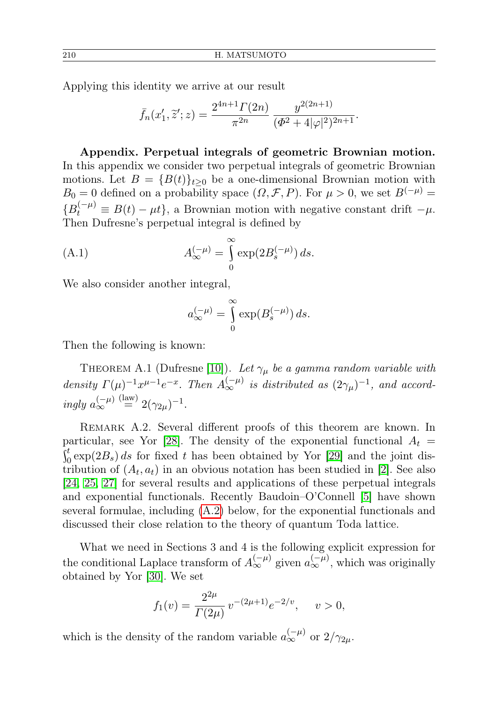Applying this identity we arrive at our result

$$
\bar{f}_n(x'_1, \tilde{z}'; z) = \frac{2^{4n+1} \Gamma(2n)}{\pi^{2n}} \frac{y^{2(2n+1)}}{(\Phi^2 + 4|\varphi|^2)^{2n+1}}.
$$

Appendix. Perpetual integrals of geometric Brownian motion. In this appendix we consider two perpetual integrals of geometric Brownian motions. Let  $B = {B(t)}_{t\geq0}$  be a one-dimensional Brownian motion with  $B_0 = 0$  defined on a probability space  $(\Omega, \mathcal{F}, P)$ . For  $\mu > 0$ , we set  $B^{(-\mu)} =$  ${B_t^{(-\mu)}} \equiv B(t) - \mu t$ , a Brownian motion with negative constant drift  $-\mu$ . Then Dufresne's perpetual integral is defined by

(A.1) 
$$
A_{\infty}^{(-\mu)} = \int_{0}^{\infty} \exp(2B_s^{(-\mu)}) ds.
$$

We also consider another integral,

$$
a_{\infty}^{(-\mu)} = \int_{0}^{\infty} \exp(B_s^{(-\mu)}) ds.
$$

<span id="page-17-0"></span>Then the following is known:

THEOREM A.1 (Dufresne [\[10\]](#page-21-21)). Let  $\gamma_\mu$  be a gamma random variable with density  $\Gamma(\mu)^{-1} x^{\mu-1} e^{-x}$ . Then  $A_{\infty}^{(-\mu)}$  is distributed as  $(2\gamma_{\mu})^{-1}$ , and accordingly  $a_{\infty}^{(-\mu)}$  $\stackrel{\text{(law)}}{=} 2(\gamma_{2\mu})^{-1}.$ 

REMARK A.2. Several different proofs of this theorem are known. In particular, see Yor [\[28\]](#page-22-3). The density of the exponential functional  $A_t =$  $\int_0^t \exp(2B_s) ds$  for fixed t has been obtained by Yor [\[29\]](#page-22-0) and the joint distribution of  $(A_t, a_t)$  in an obvious notation has been studied in [\[2\]](#page-21-6). See also [\[24,](#page-21-22) [25,](#page-21-9) [27\]](#page-22-4) for several results and applications of these perpetual integrals and exponential functionals. Recently Baudoin–O'Connell [\[5\]](#page-21-23) have shown several formulae, including [\(A.2\)](#page-18-0) below, for the exponential functionals and discussed their close relation to the theory of quantum Toda lattice.

What we need in Sections 3 and 4 is the following explicit expression for the conditional Laplace transform of  $A_{\infty}^{(-\mu)}$  given  $a_{\infty}^{(-\mu)}$ , which was originally obtained by Yor [\[30\]](#page-22-5). We set

$$
f_1(v) = \frac{2^{2\mu}}{\Gamma(2\mu)} v^{-(2\mu+1)} e^{-2/v}, \quad v > 0,
$$

<span id="page-17-1"></span>which is the density of the random variable  $a_{\infty}^{(-\mu)}$  or  $2/\gamma_{2\mu}$ .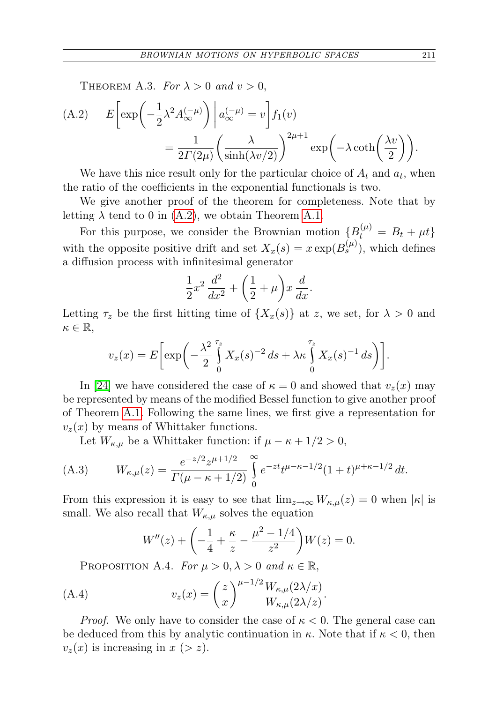THEOREM A.3. For  $\lambda > 0$  and  $v > 0$ ,

<span id="page-18-0"></span>(A.2) 
$$
E\left[\exp\left(-\frac{1}{2}\lambda^2 A_{\infty}^{(-\mu)}\right)\middle| a_{\infty}^{(-\mu)} = v\right] f_1(v)
$$

$$
= \frac{1}{2\Gamma(2\mu)} \left(\frac{\lambda}{\sinh(\lambda v/2)}\right)^{2\mu+1} \exp\left(-\lambda \coth\left(\frac{\lambda v}{2}\right)\right).
$$

We have this nice result only for the particular choice of  $A_t$  and  $a_t$ , when the ratio of the coefficients in the exponential functionals is two.

We give another proof of the theorem for completeness. Note that by letting  $\lambda$  tend to 0 in [\(A.2\)](#page-18-0), we obtain Theorem [A.1.](#page-17-0)

For this purpose, we consider the Brownian motion  $\{B_t^{(\mu)} = B_t + \mu t\}$ with the opposite positive drift and set  $X_x(s) = x \exp(B_s^{(\mu)})$ , which defines a diffusion process with infinitesimal generator

$$
\frac{1}{2}x^2\,\frac{d^2}{dx^2} + \left(\frac{1}{2} + \mu\right)x\,\frac{d}{dx}.
$$

Letting  $\tau_z$  be the first hitting time of  $\{X_x(s)\}\$ at z, we set, for  $\lambda > 0$  and  $\kappa \in \mathbb{R},$ 

$$
v_z(x) = E\bigg[\exp\bigg(-\frac{\lambda^2}{2}\int\limits_0^{\tau_z} X_x(s)^{-2} ds + \lambda \kappa \int\limits_0^{\tau_z} X_x(s)^{-1} ds\bigg)\bigg].
$$

In [\[24\]](#page-21-22) we have considered the case of  $\kappa = 0$  and showed that  $v_z(x)$  may be represented by means of the modified Bessel function to give another proof of Theorem [A.1.](#page-17-0) Following the same lines, we first give a representation for  $v_z(x)$  by means of Whittaker functions.

<span id="page-18-2"></span>Let  $W_{\kappa,\mu}$  be a Whittaker function: if  $\mu - \kappa + 1/2 > 0$ ,

(A.3) 
$$
W_{\kappa,\mu}(z) = \frac{e^{-z/2}z^{\mu+1/2}}{\Gamma(\mu-\kappa+1/2)} \int_{0}^{\infty} e^{-zt}t^{\mu-\kappa-1/2}(1+t)^{\mu+\kappa-1/2}dt.
$$

From this expression it is easy to see that  $\lim_{z\to\infty}W_{\kappa,\mu}(z)=0$  when  $|\kappa|$  is small. We also recall that  $W_{\kappa,\mu}$  solves the equation

<span id="page-18-1"></span>
$$
W''(z) + \left(-\frac{1}{4} + \frac{\kappa}{z} - \frac{\mu^2 - 1/4}{z^2}\right)W(z) = 0.
$$

PROPOSITION A.4. For  $\mu > 0, \lambda > 0$  and  $\kappa \in \mathbb{R}$ ,

(A.4) 
$$
v_z(x) = \left(\frac{z}{x}\right)^{\mu-1/2} \frac{W_{\kappa,\mu}(2\lambda/x)}{W_{\kappa,\mu}(2\lambda/z)}.
$$

*Proof.* We only have to consider the case of  $\kappa < 0$ . The general case can be deduced from this by analytic continuation in  $\kappa$ . Note that if  $\kappa < 0$ , then  $v_z(x)$  is increasing in  $x (> z)$ .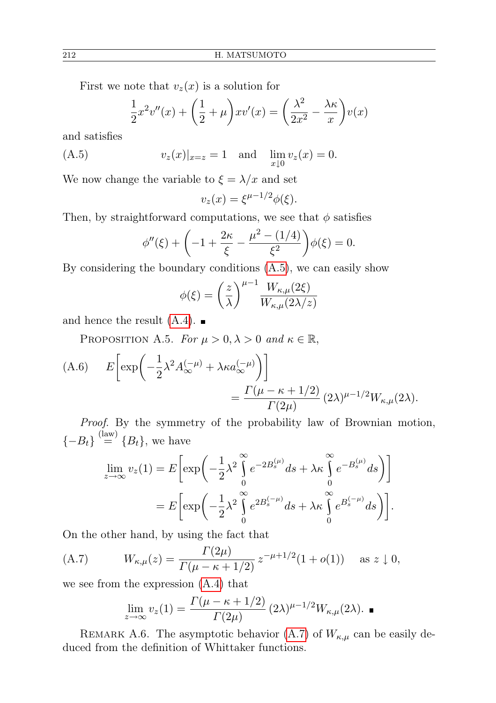First we note that  $v_z(x)$  is a solution for

<span id="page-19-0"></span>
$$
\frac{1}{2}x^2v''(x) + \left(\frac{1}{2} + \mu\right)xv'(x) = \left(\frac{\lambda^2}{2x^2} - \frac{\lambda\kappa}{x}\right)v(x)
$$

and satisfies

(A.5) 
$$
v_z(x)|_{x=z} = 1
$$
 and  $\lim_{x \downarrow 0} v_z(x) = 0$ .

We now change the variable to  $\xi = \lambda/x$  and set

$$
v_z(x) = \xi^{\mu - 1/2} \phi(\xi).
$$

Then, by straightforward computations, we see that  $\phi$  satisfies

$$
\phi''(\xi) + \left(-1 + \frac{2\kappa}{\xi} - \frac{\mu^2 - (1/4)}{\xi^2}\right)\phi(\xi) = 0.
$$

By considering the boundary conditions [\(A.5\)](#page-19-0), we can easily show

$$
\phi(\xi) = \left(\frac{z}{\lambda}\right)^{\mu-1} \frac{W_{\kappa,\mu}(2\xi)}{W_{\kappa,\mu}(2\lambda/z)}
$$

and hence the result  $(A.4)$ .

PROPOSITION A.5. For  $\mu > 0, \lambda > 0$  and  $\kappa \in \mathbb{R}$ ,

<span id="page-19-2"></span>(A.6) 
$$
E\left[\exp\left(-\frac{1}{2}\lambda^2 A_{\infty}^{(-\mu)} + \lambda \kappa a_{\infty}^{(-\mu)}\right)\right]
$$

$$
= \frac{\Gamma(\mu - \kappa + 1/2)}{\Gamma(2\mu)} (2\lambda)^{\mu - 1/2} W_{\kappa, \mu}(2\lambda).
$$

Proof. By the symmetry of the probability law of Brownian motion,  $\{-B_t\} \stackrel{\text{(law)}}{=} \{B_t\}$ , we have

$$
\lim_{z \to \infty} v_z(1) = E \left[ \exp \left( -\frac{1}{2} \lambda^2 \int_0^{\infty} e^{-2B_s^{(\mu)}} ds + \lambda \kappa \int_0^{\infty} e^{-B_s^{(\mu)}} ds \right) \right]
$$
  
= 
$$
E \left[ \exp \left( -\frac{1}{2} \lambda^2 \int_0^{\infty} e^{2B_s^{(-\mu)}} ds + \lambda \kappa \int_0^{\infty} e^{B_s^{(-\mu)}} ds \right) \right].
$$

On the other hand, by using the fact that

(A.7) 
$$
W_{\kappa,\mu}(z) = \frac{\Gamma(2\mu)}{\Gamma(\mu - \kappa + 1/2)} z^{-\mu + 1/2} (1 + o(1)) \text{ as } z \downarrow 0,
$$

we see from the expression [\(A.4\)](#page-18-1) that

<span id="page-19-1"></span>
$$
\lim_{z \to \infty} v_z(1) = \frac{\Gamma(\mu - \kappa + 1/2)}{\Gamma(2\mu)} (2\lambda)^{\mu - 1/2} W_{\kappa, \mu}(2\lambda).
$$

REMARK A.6. The asymptotic behavior [\(A.7\)](#page-19-1) of  $W_{\kappa,\mu}$  can be easily deduced from the definition of Whittaker functions.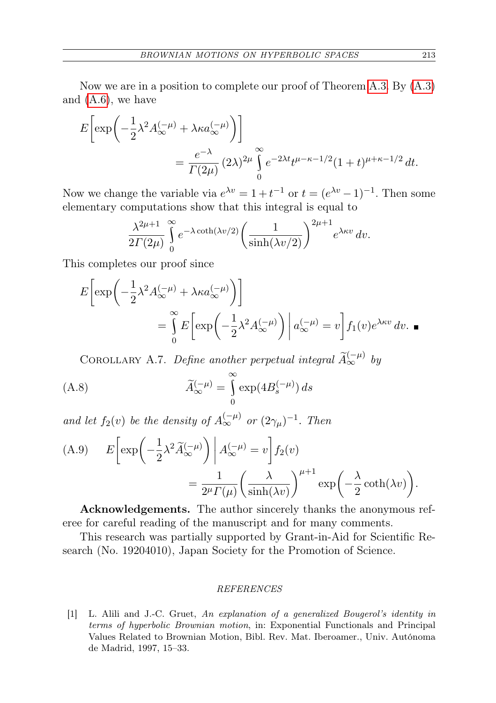Now we are in a position to complete our proof of Theorem [A.3.](#page-17-1) By [\(A.3\)](#page-18-2) and [\(A.6\)](#page-19-2), we have

$$
E\left[\exp\left(-\frac{1}{2}\lambda^2 A_{\infty}^{(-\mu)} + \lambda \kappa a_{\infty}^{(-\mu)}\right)\right]
$$
  
= 
$$
\frac{e^{-\lambda}}{\Gamma(2\mu)} (2\lambda)^{2\mu} \int_{0}^{\infty} e^{-2\lambda t} t^{\mu-\kappa-1/2} (1+t)^{\mu+\kappa-1/2} dt.
$$

Now we change the variable via  $e^{\lambda v} = 1 + t^{-1}$  or  $t = (e^{\lambda v} - 1)^{-1}$ . Then some elementary computations show that this integral is equal to

$$
\frac{\lambda^{2\mu+1}}{2\Gamma(2\mu)}\int_{0}^{\infty}e^{-\lambda\coth(\lambda v/2)}\left(\frac{1}{\sinh(\lambda v/2)}\right)^{2\mu+1}e^{\lambda\kappa v}\,dv.
$$

This completes our proof since

$$
E\left[\exp\left(-\frac{1}{2}\lambda^2 A_{\infty}^{(-\mu)} + \lambda \kappa a_{\infty}^{(-\mu)}\right)\right]
$$
  
= 
$$
\int_{0}^{\infty} E\left[\exp\left(-\frac{1}{2}\lambda^2 A_{\infty}^{(-\mu)}\right) \middle| a_{\infty}^{(-\mu)} = v\right] f_1(v) e^{\lambda \kappa v} dv.
$$

<span id="page-20-0"></span>COROLLARY A.7. Define another perpetual integral  $\widetilde{A}_{\infty}^{(-\mu)}$  by

(A.8) 
$$
\widetilde{A}_{\infty}^{(-\mu)} = \int_{0}^{\infty} \exp(4B_s^{(-\mu)}) ds
$$

and let  $f_2(v)$  be the density of  $A_{\infty}^{(-\mu)}$  or  $(2\gamma_{\mu})^{-1}$ . Then

<span id="page-20-1"></span>(A.9) 
$$
E\left[\exp\left(-\frac{1}{2}\lambda^2 \widetilde{A}_{\infty}^{(-\mu)}\right)\middle| A_{\infty}^{(-\mu)} = v\right] f_2(v)
$$

$$
= \frac{1}{2^{\mu} \Gamma(\mu)} \left(\frac{\lambda}{\sinh(\lambda v)}\right)^{\mu+1} \exp\left(-\frac{\lambda}{2} \coth(\lambda v)\right).
$$

Acknowledgements. The author sincerely thanks the anonymous referee for careful reading of the manuscript and for many comments.

This research was partially supported by Grant-in-Aid for Scientific Research (No. 19204010), Japan Society for the Promotion of Science.

## REFERENCES

[1] L. Alili and J.-C. Gruet, An explanation of a generalized Bougerol's identity in terms of hyperbolic Brownian motion, in: Exponential Functionals and Principal Values Related to Brownian Motion, Bibl. Rev. Mat. Iberoamer., Univ. Autónoma de Madrid, 1997, 15–33.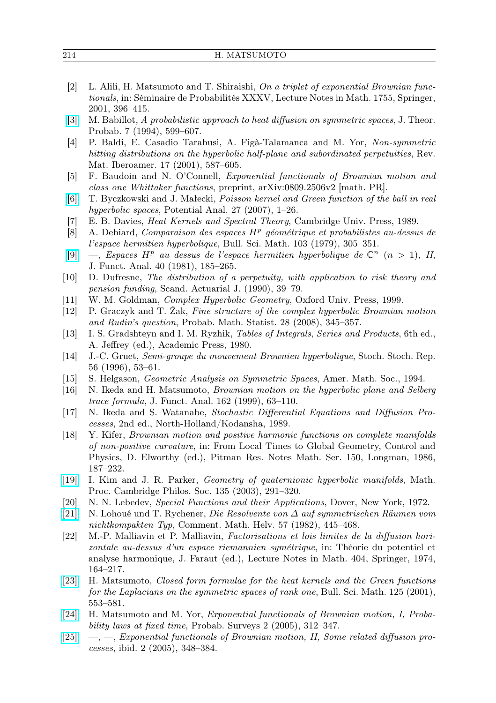<span id="page-21-6"></span>

| [2] L. Alili, H. Matsumoto and T. Shiraishi, On a triplet of exponential Brownian func-     |
|---------------------------------------------------------------------------------------------|
| <i>tionals</i> , in: Séminaire de Probabilités XXXV, Lecture Notes in Math. 1755, Springer, |
| $2001, 396 - 415.$                                                                          |
|                                                                                             |

- <span id="page-21-2"></span>[\[3\]](http://dx.doi.org/10.1007/BF02213570) M. Babillot, A probabilistic approach to heat diffusion on symmetric spaces, J. Theor. Probab. 7 (1994), 599–607.
- <span id="page-21-10"></span>[4] P. Baldi, E. Casadio Tarabusi, A. Figà-Talamanca and M. Yor, Non-symmetric hitting distributions on the hyperbolic half-plane and subordinated perpetuities, Rev. Mat. Iberoamer. 17 (2001), 587–605.
- <span id="page-21-23"></span>[5] F. Baudoin and N. O'Connell, Exponential functionals of Brownian motion and class one Whittaker functions, preprint, arXiv:0809.2506v2 [math. PR].
- <span id="page-21-11"></span>[\[6\]](http://dx.doi.org/10.1007/s11118-007-9050-8) T. Byczkowski and J. Małecki, Poisson kernel and Green function of the ball in real hyperbolic spaces, Potential Anal. 27 (2007), 1–26.
- <span id="page-21-3"></span>[7] E. B. Davies, Heat Kernels and Spectral Theory, Cambridge Univ. Press, 1989.
- <span id="page-21-12"></span>[8] A. Debiard, Comparaison des espaces  $H^p$  géométrique et probabilistes au-dessus de l'espace hermitien hyperbolique, Bull. Sci. Math. 103 (1979), 305–351.
- <span id="page-21-13"></span>[\[9\]](http://dx.doi.org/10.1016/0022-1236(81)90067-7)  $-$ , Espaces H<sup>p</sup> au dessus de l'espace hermitien hyperbolique de  $\mathbb{C}^n$  (n > 1), II, J. Funct. Anal. 40 (1981), 185–265.
- <span id="page-21-21"></span>[10] D. Dufresne, The distribution of a perpetuity, with application to risk theory and pension funding, Scand. Actuarial J. (1990), 39–79.
- <span id="page-21-14"></span>[11] W. M. Goldman, Complex Hyperbolic Geometry, Oxford Univ. Press, 1999.
- <span id="page-21-15"></span>[12] P. Graczyk and T. Żak, Fine structure of the complex hyperbolic Brownian motion and Rudin's question, Probab. Math. Statist. 28 (2008), 345–357.
- <span id="page-21-18"></span>[13] I. S. Gradshteyn and I. M. Ryzhik, Tables of Integrals, Series and Products, 6th ed., A. Jeffrey (ed.), Academic Press, 1980.
- <span id="page-21-5"></span>[14] J.-C. Gruet, Semi-groupe du mouvement Brownien hyperbolique, Stoch. Stoch. Rep. 56 (1996), 53–61.
- <span id="page-21-19"></span>[15] S. Helgason, Geometric Analysis on Symmetric Spaces, Amer. Math. Soc., 1994.
- <span id="page-21-7"></span>[16] N. Ikeda and H. Matsumoto, Brownian motion on the hyperbolic plane and Selberg trace formula, J. Funct. Anal. 162 (1999), 63–110.
- <span id="page-21-4"></span>[17] N. Ikeda and S. Watanabe, Stochastic Differential Equations and Diffusion Processes, 2nd ed., North-Holland/Kodansha, 1989.
- <span id="page-21-0"></span>[18] Y. Kifer, Brownian motion and positive harmonic functions on complete manifolds of non-positive curvature, in: From Local Times to Global Geometry, Control and Physics, D. Elworthy (ed.), Pitman Res. Notes Math. Ser. 150, Longman, 1986, 187–232.
- <span id="page-21-16"></span>[\[19\]](http://dx.doi.org/10.1017/S030500410300687X) I. Kim and J. R. Parker, Geometry of quaternionic hyperbolic manifolds, Math. Proc. Cambridge Philos. Soc. 135 (2003), 291–320.
- <span id="page-21-17"></span>[20] N. N. Lebedev, Special Functions and their Applications, Dover, New York, 1972.
- <span id="page-21-20"></span>[\[21\]](http://dx.doi.org/10.1007/BF02565869) N. Lohoué und T. Rychener, Die Resolvente von ∆ auf symmetrischen Räumen vom nichtkompakten Typ, Comment. Math. Helv. 57 (1982), 445–468.
- <span id="page-21-1"></span>[22] M.-P. Malliavin et P. Malliavin, Factorisations et lois limites de la diffusion horizontale au-dessus d'un espace riemannien symétrique, in: Théorie du potentiel et analyse harmonique, J. Faraut (ed.), Lecture Notes in Math. 404, Springer, 1974, 164–217.
- <span id="page-21-8"></span>[\[23\]](http://dx.doi.org/10.1016/S0007-4497(01)01099-5) H. Matsumoto, Closed form formulae for the heat kernels and the Green functions for the Laplacians on the symmetric spaces of rank one, Bull. Sci. Math. 125 (2001), 553–581.
- <span id="page-21-22"></span>[\[24\]](http://dx.doi.org/10.1214/154957805100000159) H. Matsumoto and M. Yor, Exponential functionals of Brownian motion, I, Probability laws at fixed time, Probab. Surveys 2 (2005), 312–347.
- <span id="page-21-9"></span>[\[25\]](http://dx.doi.org/10.1214/154957805100000168) —, —, Exponential functionals of Brownian motion, II, Some related diffusion processes, ibid. 2 (2005), 348–384.